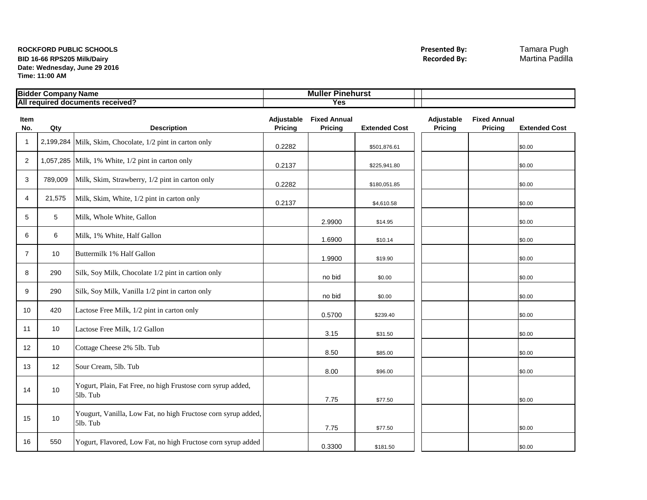## **ROCKFORD PUBLIC SCHOOLS Presented By:** Tamara Pugh **BID 16-66 RPS205 Milk/Dairy Date: Wednesday, June 29 2016 Time: 11:00 AM**

| .<br>Bidder<br><sup>.</sup> Company Name | oinehurs.<br>Mulle |  |
|------------------------------------------|--------------------|--|
| All required documents received?         | Yes                |  |

| <b>Item</b><br>No. | Qty             | <b>Description</b>                                                        | <b>Pricing</b> | Adjustable Fixed Annual<br>Pricing | <b>Extended Cost</b> | Adjustable<br>Pricing | <b>Fixed Annual</b><br>Pricing | <b>Extended Cost</b> |
|--------------------|-----------------|---------------------------------------------------------------------------|----------------|------------------------------------|----------------------|-----------------------|--------------------------------|----------------------|
| $\overline{1}$     |                 | 2,199,284 Milk, Skim, Chocolate, 1/2 pint in carton only                  | 0.2282         |                                    | \$501,876.61         |                       |                                | \$0.00               |
| $\overline{2}$     |                 | 1,057,285 Milk, 1% White, $1/2$ pint in carton only                       | 0.2137         |                                    | \$225,941.80         |                       |                                | \$0.00               |
| 3                  | 789,009         | Milk, Skim, Strawberry, 1/2 pint in carton only                           | 0.2282         |                                    | \$180,051.85         |                       |                                | \$0.00               |
| 4                  | 21,575          | Milk, Skim, White, 1/2 pint in carton only                                | 0.2137         |                                    | \$4,610.58           |                       |                                | \$0.00               |
| 5                  | 5               | Milk, Whole White, Gallon                                                 |                | 2.9900                             | \$14.95              |                       |                                | \$0.00               |
| 6                  | 6               | Milk, 1% White, Half Gallon                                               |                | 1.6900                             | \$10.14              |                       |                                | \$0.00               |
| $\overline{7}$     | 10              | Buttermilk 1% Half Gallon                                                 |                | 1.9900                             | \$19.90              |                       |                                | \$0.00               |
| 8                  | 290             | Silk, Soy Milk, Chocolate 1/2 pint in cartion only                        |                | no bid                             | \$0.00               |                       |                                | \$0.00               |
| 9                  | 290             | Silk, Soy Milk, Vanilla 1/2 pint in carton only                           |                | no bid                             | \$0.00               |                       |                                | \$0.00               |
| 10                 | 420             | Lactose Free Milk, 1/2 pint in carton only                                |                | 0.5700                             | \$239.40             |                       |                                | \$0.00               |
| 11                 | 10 <sup>1</sup> | Lactose Free Milk, 1/2 Gallon                                             |                | 3.15                               | \$31.50              |                       |                                | \$0.00               |
| 12                 | 10              | Cottage Cheese 2% 5lb. Tub                                                |                | 8.50                               | \$85.00              |                       |                                | \$0.00               |
| 13                 | 12 <sup>2</sup> | Sour Cream, 5lb. Tub                                                      |                | 8.00                               | \$96.00              |                       |                                | \$0.00               |
| 14                 | 10              | Yogurt, Plain, Fat Free, no high Frustose corn syrup added,<br>5lb. Tub   |                | 7.75                               | \$77.50              |                       |                                | \$0.00               |
| 15                 | 10              | Yougurt, Vanilla, Low Fat, no high Fructose corn syrup added,<br>5lb. Tub |                | 7.75                               | \$77.50              |                       |                                | \$0.00               |
| 16                 | 550             | Yogurt, Flavored, Low Fat, no high Fructose corn syrup added              |                | 0.3300                             | \$181.50             |                       |                                | \$0.00               |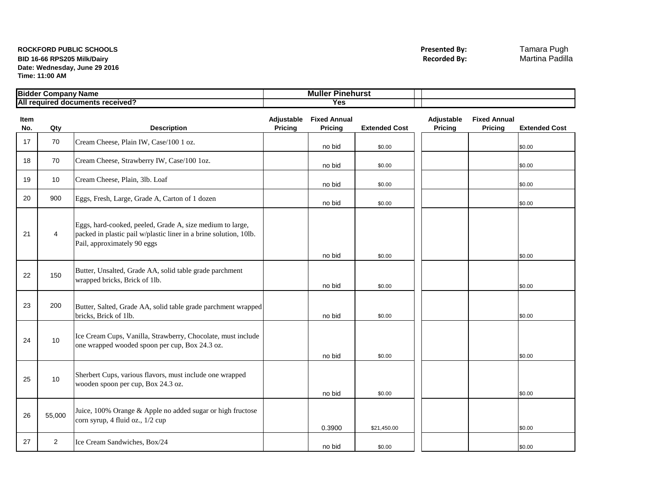## **ROCKFORD PUBLIC SCHOOLS Presented By:** Tamara Pugh **BID 16-66 RPS205 Milk/Dairy Date: Wednesday, June 29 2016 Time: 11:00 AM**

| <b>Bidde</b><br>Company Name               | Mulle<br>'inehurs'<br>. |  |
|--------------------------------------------|-------------------------|--|
| All<br>l documents received?<br>' reauireo | Yes                     |  |

| <b>Item</b><br>No. | Qty            | <b>Description</b>                                                                                                                                            | Pricing | Adjustable Fixed Annual<br>Pricing | <b>Extended Cost</b> | Adjustable<br>Pricing | <b>Fixed Annual</b><br><b>Pricing</b> | <b>Extended Cost</b> |
|--------------------|----------------|---------------------------------------------------------------------------------------------------------------------------------------------------------------|---------|------------------------------------|----------------------|-----------------------|---------------------------------------|----------------------|
| 17                 | 70             | Cream Cheese, Plain IW, Case/100 1 oz.                                                                                                                        |         | no bid                             | \$0.00               |                       |                                       | \$0.00               |
| 18                 | 70             | Cream Cheese, Strawberry IW, Case/100 1oz.                                                                                                                    |         | no bid                             | \$0.00               |                       |                                       | \$0.00               |
| 19                 | 10             | Cream Cheese, Plain, 3lb. Loaf                                                                                                                                |         | no bid                             | \$0.00               |                       |                                       | \$0.00               |
| 20                 | 900            | Eggs, Fresh, Large, Grade A, Carton of 1 dozen                                                                                                                |         | no bid                             | \$0.00               |                       |                                       | \$0.00               |
| 21                 | 4              | Eggs, hard-cooked, peeled, Grade A, size medium to large,<br>packed in plastic pail w/plastic liner in a brine solution, 10lb.<br>Pail, approximately 90 eggs |         | no bid                             | \$0.00               |                       |                                       | \$0.00               |
| 22                 | 150            | Butter, Unsalted, Grade AA, solid table grade parchment<br>wrapped bricks, Brick of 1lb.                                                                      |         | no bid                             | \$0.00               |                       |                                       | \$0.00               |
| 23                 | 200            | Butter, Salted, Grade AA, solid table grade parchment wrapped<br>bricks, Brick of 1lb.                                                                        |         | no bid                             | \$0.00               |                       |                                       | \$0.00               |
| 24                 | 10             | Ice Cream Cups, Vanilla, Strawberry, Chocolate, must include<br>one wrapped wooded spoon per cup, Box 24.3 oz.                                                |         | no bid                             | \$0.00               |                       |                                       | \$0.00               |
| 25                 | 10             | Sherbert Cups, various flavors, must include one wrapped<br>wooden spoon per cup, Box 24.3 oz.                                                                |         | no bid                             | \$0.00               |                       |                                       | \$0.00               |
| 26                 | 55,000         | Juice, 100% Orange & Apple no added sugar or high fructose<br>corn syrup, 4 fluid oz., 1/2 cup                                                                |         | 0.3900                             | \$21,450.00          |                       |                                       | \$0.00               |
| 27                 | $\overline{2}$ | Ice Cream Sandwiches, Box/24                                                                                                                                  |         | no bid                             | \$0.00               |                       |                                       | \$0.00               |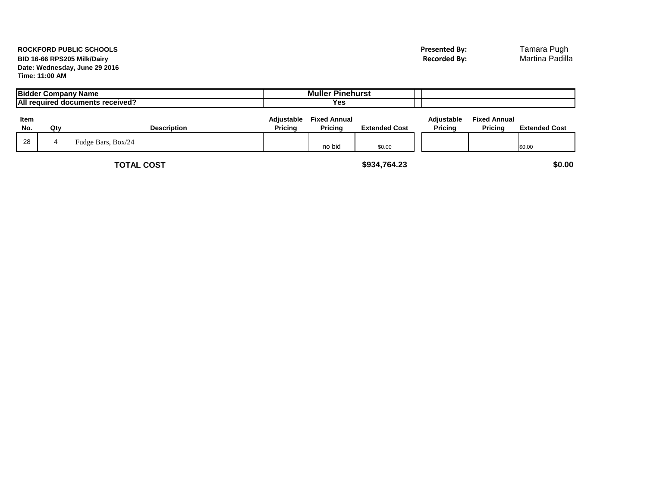## **BID 16-66 RPS205 Milk/Dairy Date: Wednesday, June 29 2016 Time: 11:00 AM**

|             | <b>Bidder Company Name</b> | All required documents received? |                              | <b>Muller Pinehurst</b><br>Yes |                      |                       |                                |                      |
|-------------|----------------------------|----------------------------------|------------------------------|--------------------------------|----------------------|-----------------------|--------------------------------|----------------------|
| Item<br>No. | Qtv                        | <b>Description</b>               | Adjustable<br><b>Pricina</b> | <b>Fixed Annual</b><br>Pricina | <b>Extended Cost</b> | Adjustable<br>Pricina | <b>Fixed Annual</b><br>Pricina | <b>Extended Cost</b> |
| 28          |                            | Fudge Bars, Box/24               |                              | no bic                         | \$0.00               |                       |                                | \$0.00               |

**TOTAL COST \$934,764.23 \$0.00**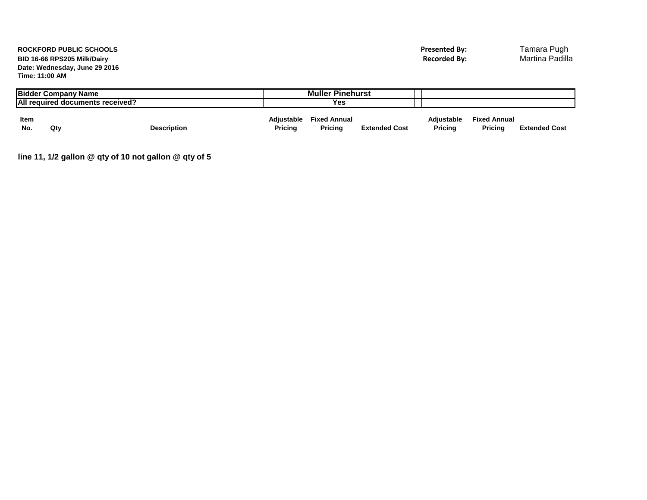## **ROCKFORD PUBLIC SCHOOLS Presented By:** Tamara Pugh **BID 16-66 RPS205 Milk/Dairy Date: Wednesday, June 29 2016 Time: 11:00 AM**

|      | <b>Bidder Company Name</b> |                                  |            | <b>Muller Pinehurst</b> |                      |                   |                     |                      |
|------|----------------------------|----------------------------------|------------|-------------------------|----------------------|-------------------|---------------------|----------------------|
|      |                            | All required documents received? |            | Yes                     |                      |                   |                     |                      |
| Item |                            |                                  | Adiustable | <b>Fixed Annual</b>     |                      | <b>Adiustable</b> | <b>Fixed Annual</b> |                      |
| No.  | Qtv                        | <b>Description</b>               | Pricing    | Pricina                 | <b>Extended Cost</b> | <b>Pricing</b>    | <b>Pricing</b>      | <b>Extended Cost</b> |

**line 11, 1/2 gallon @ qty of 10 not gallon @ qty of 5**